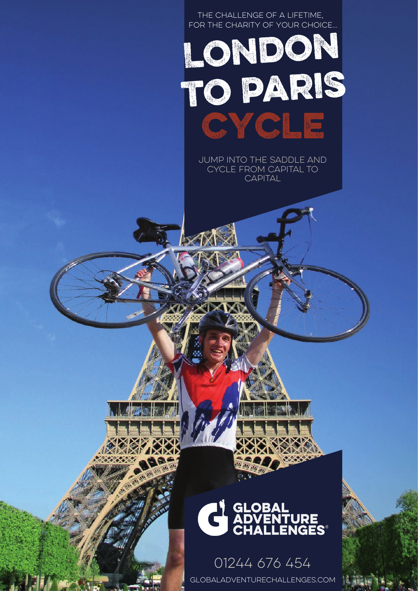

01244 676 454 globaladventurechallenges.com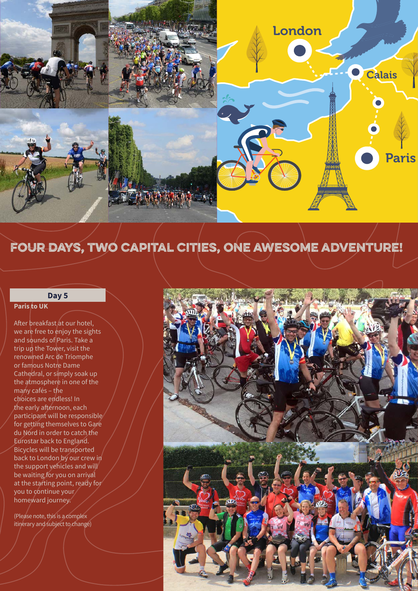

### four days, two capital cities, one awesome adventure!

#### **Day 5**

#### **Paris to UK**

After breakfast at our hotel, we are free to enjoy the sights and sounds of Paris. Take a trip up the Tower, visit the renowned Arc de Triomphe or famous Notre Dame Cathedral, or simply soak up the atmosphere in one of the many cafés – the choices are endless! In the early afternoon, each participant will be responsible for getting themselves to Gare du Nord in order to catch the Eurostar back to England. Bicycles will be transported back to London by our crew in the support vehicles and will be waiting for you on arrival at the starting point, ready for you to continue your homeward journey.

(Please note, this is a complex itinerary and subject to change)